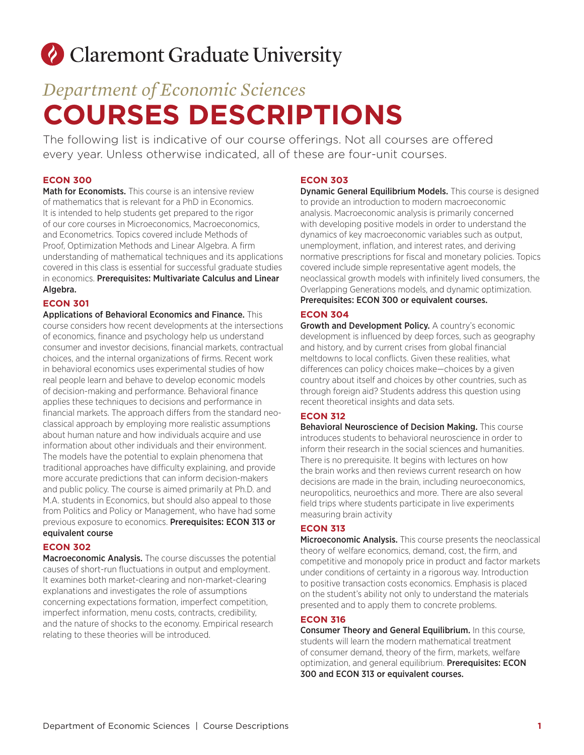# Claremont Graduate University

## *Department of Economic Sciences* **COURSES DESCRIPTIONS**

The following list is indicative of our course offerings. Not all courses are offered every year. Unless otherwise indicated, all of these are four-unit courses.

## **ECON 300**

Math for Economists. This course is an intensive review of mathematics that is relevant for a PhD in Economics. It is intended to help students get prepared to the rigor of our core courses in Microeconomics, Macroeconomics, and Econometrics. Topics covered include Methods of Proof, Optimization Methods and Linear Algebra. A firm understanding of mathematical techniques and its applications covered in this class is essential for successful graduate studies in economics. Prerequisites: Multivariate Calculus and Linear Algebra.

## **ECON 301**

Applications of Behavioral Economics and Finance. This course considers how recent developments at the intersections of economics, finance and psychology help us understand consumer and investor decisions, financial markets, contractual choices, and the internal organizations of firms. Recent work in behavioral economics uses experimental studies of how real people learn and behave to develop economic models of decision-making and performance. Behavioral finance applies these techniques to decisions and performance in financial markets. The approach differs from the standard neoclassical approach by employing more realistic assumptions about human nature and how individuals acquire and use information about other individuals and their environment. The models have the potential to explain phenomena that traditional approaches have difficulty explaining, and provide more accurate predictions that can inform decision-makers and public policy. The course is aimed primarily at Ph.D. and M.A. students in Economics, but should also appeal to those from Politics and Policy or Management, who have had some previous exposure to economics. Prerequisites: ECON 313 or equivalent course

## **ECON 302**

Macroeconomic Analysis. The course discusses the potential causes of short-run fluctuations in output and employment. It examines both market-clearing and non-market-clearing explanations and investigates the role of assumptions concerning expectations formation, imperfect competition, imperfect information, menu costs, contracts, credibility, and the nature of shocks to the economy. Empirical research relating to these theories will be introduced.

## **ECON 303**

**Dynamic General Equilibrium Models.** This course is designed to provide an introduction to modern macroeconomic analysis. Macroeconomic analysis is primarily concerned with developing positive models in order to understand the dynamics of key macroeconomic variables such as output, unemployment, inflation, and interest rates, and deriving normative prescriptions for fiscal and monetary policies. Topics covered include simple representative agent models, the neoclassical growth models with infinitely lived consumers, the Overlapping Generations models, and dynamic optimization. Prerequisites: ECON 300 or equivalent courses.

## **ECON 304**

Growth and Development Policy. A country's economic development is influenced by deep forces, such as geography and history, and by current crises from global financial meltdowns to local conflicts. Given these realities, what differences can policy choices make—choices by a given country about itself and choices by other countries, such as through foreign aid? Students address this question using recent theoretical insights and data sets.

## **ECON 312**

Behavioral Neuroscience of Decision Making. This course introduces students to behavioral neuroscience in order to inform their research in the social sciences and humanities. There is no prerequisite. It begins with lectures on how the brain works and then reviews current research on how decisions are made in the brain, including neuroeconomics, neuropolitics, neuroethics and more. There are also several field trips where students participate in live experiments measuring brain activity

## **ECON 313**

Microeconomic Analysis. This course presents the neoclassical theory of welfare economics, demand, cost, the firm, and competitive and monopoly price in product and factor markets under conditions of certainty in a rigorous way. Introduction to positive transaction costs economics. Emphasis is placed on the student's ability not only to understand the materials presented and to apply them to concrete problems.

## **ECON 316**

Consumer Theory and General Equilibrium. In this course, students will learn the modern mathematical treatment of consumer demand, theory of the firm, markets, welfare optimization, and general equilibrium. Prerequisites: ECON 300 and ECON 313 or equivalent courses.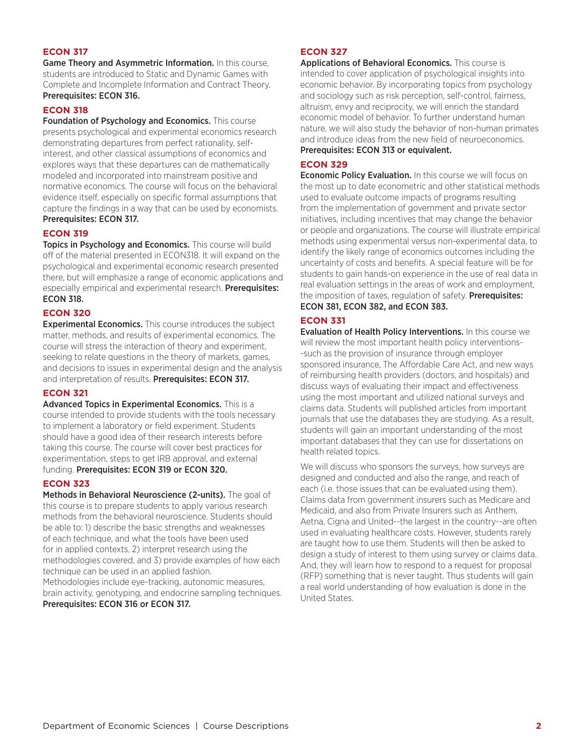Game Theory and Asymmetric Information. In this course, students are introduced to Static and Dynamic Games with Complete and Incomplete Information and Contract Theory. Prerequisites: ECON 316.

#### **ECON 318**

Foundation of Psychology and Economics. This course presents psychological and experimental economics research demonstrating departures from perfect rationality, selfinterest, and other classical assumptions of economics and explores ways that these departures can de mathematically modeled and incorporated into mainstream positive and normative economics. The course will focus on the behavioral evidence itself, especially on specific formal assumptions that capture the findings in a way that can be used by economists. Prerequisites: ECON 317.

#### **ECON 319**

Topics in Psychology and Economics. This course will build off of the material presented in ECON318. It will expand on the psychological and experimental economic research presented there, but will emphasize a range of economic applications and especially empirical and experimental research. Prerequisites: ECON 318.

#### **ECON 320**

**Experimental Economics.** This course introduces the subject matter, methods, and results of experimental economics. The course will stress the interaction of theory and experiment, seeking to relate questions in the theory of markets, games, and decisions to issues in experimental design and the analysis and interpretation of results. Prerequisites: ECON 317.

#### **ECON 321**

Advanced Topics in Experimental Economics. This is a course intended to provide students with the tools necessary to implement a laboratory or field experiment. Students should have a good idea of their research interests before taking this course. The course will cover best practices for experimentation, steps to get IRB approval, and external funding. Prerequisites: ECON 319 or ECON 320.

#### **ECON 323**

Methods in Behavioral Neuroscience (2-units). The goal of this course is to prepare students to apply various research methods from the behavioral neuroscience. Students should be able to: 1) describe the basic strengths and weaknesses of each technique, and what the tools have been used for in applied contexts, 2) interpret research using the methodologies covered, and 3) provide examples of how each technique can be used in an applied fashion.

Methodologies include eye-tracking, autonomic measures, brain activity, genotyping, and endocrine sampling techniques. Prerequisites: ECON 316 or ECON 317.

#### **ECON 327**

Applications of Behavioral Economics. This course is intended to cover application of psychological insights into economic behavior. By incorporating topics from psychology and sociology such as risk perception, self-control, fairness, altruism, envy and reciprocity, we will enrich the standard economic model of behavior. To further understand human nature, we will also study the behavior of non-human primates and introduce ideas from the new field of neuroeconomics. Prerequisites: ECON 313 or equivalent.

#### **ECON 329**

**Economic Policy Evaluation.** In this course we will focus on the most up to date econometric and other statistical methods used to evaluate outcome impacts of programs resulting from the implementation of government and private sector initiatives, including incentives that may change the behavior or people and organizations. The course will illustrate empirical methods using experimental versus non-experimental data, to identify the likely range of economics outcomes including the uncertainty of costs and benefits. A special feature will be for students to gain hands-on experience in the use of real data in real evaluation settings in the areas of work and employment, the imposition of taxes, regulation of safety. Prerequisites: ECON 381, ECON 382, and ECON 383.

#### **ECON 331**

Evaluation of Health Policy Interventions. In this course we will review the most important health policy interventions--such as the provision of insurance through employer sponsored insurance, The Affordable Care Act, and new ways of reimbursing health providers (doctors, and hospitals) and discuss ways of evaluating their impact and effectiveness using the most important and utilized national surveys and claims data. Students will published articles from important journals that use the databases they are studying. As a result, students will gain an important understanding of the most important databases that they can use for dissertations on health related topics.

We will discuss who sponsors the surveys, how surveys are designed and conducted and also the range, and reach of each (i.e. those issues that can be evaluated using them). Claims data from government insurers such as Medicare and Medicaid, and also from Private Insurers such as Anthem, Aetna, Cigna and United--the largest in the country--are often used in evaluating healthcare costs. However, students rarely are taught how to use them. Students will then be asked to design a study of interest to them using survey or claims data. And, they will learn how to respond to a request for proposal (RFP) something that is never taught. Thus students will gain a real world understanding of how evaluation is done in the United States.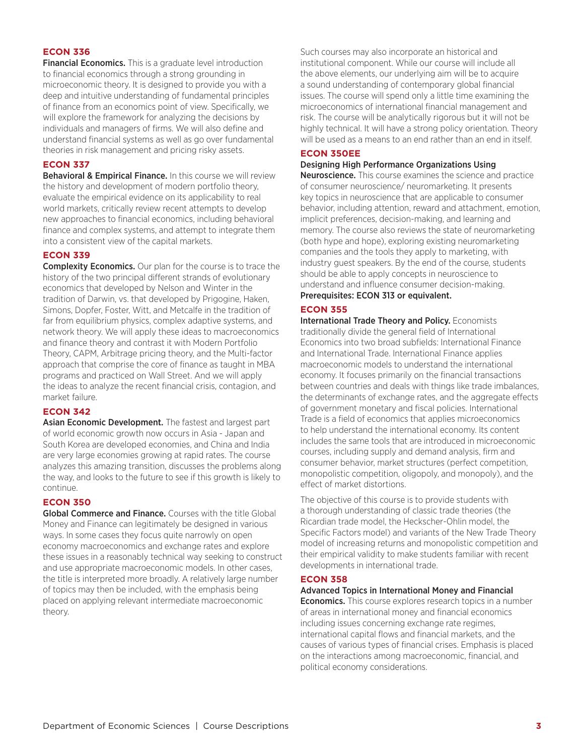Financial Economics. This is a graduate level introduction to financial economics through a strong grounding in microeconomic theory. It is designed to provide you with a deep and intuitive understanding of fundamental principles of finance from an economics point of view. Specifically, we will explore the framework for analyzing the decisions by individuals and managers of firms. We will also define and understand financial systems as well as go over fundamental theories in risk management and pricing risky assets.

#### **ECON 337**

Behavioral & Empirical Finance. In this course we will review the history and development of modern portfolio theory, evaluate the empirical evidence on its applicability to real world markets, critically review recent attempts to develop new approaches to financial economics, including behavioral finance and complex systems, and attempt to integrate them into a consistent view of the capital markets.

#### **ECON 339**

**Complexity Economics.** Our plan for the course is to trace the history of the two principal different strands of evolutionary economics that developed by Nelson and Winter in the tradition of Darwin, vs. that developed by Prigogine, Haken, Simons, Dopfer, Foster, Witt, and Metcalfe in the tradition of far from equilibrium physics, complex adaptive systems, and network theory. We will apply these ideas to macroeconomics and finance theory and contrast it with Modern Portfolio Theory, CAPM, Arbitrage pricing theory, and the Multi-factor approach that comprise the core of finance as taught in MBA programs and practiced on Wall Street. And we will apply the ideas to analyze the recent financial crisis, contagion, and market failure.

#### **ECON 342**

Asian Economic Development. The fastest and largest part of world economic growth now occurs in Asia - Japan and South Korea are developed economies, and China and India are very large economies growing at rapid rates. The course analyzes this amazing transition, discusses the problems along the way, and looks to the future to see if this growth is likely to continue.

#### **ECON 350**

**Global Commerce and Finance.** Courses with the title Global Money and Finance can legitimately be designed in various ways. In some cases they focus quite narrowly on open economy macroeconomics and exchange rates and explore these issues in a reasonably technical way seeking to construct and use appropriate macroeconomic models. In other cases, the title is interpreted more broadly. A relatively large number of topics may then be included, with the emphasis being placed on applying relevant intermediate macroeconomic theory.

Such courses may also incorporate an historical and institutional component. While our course will include all the above elements, our underlying aim will be to acquire a sound understanding of contemporary global financial issues. The course will spend only a little time examining the microeconomics of international financial management and risk. The course will be analytically rigorous but it will not be highly technical. It will have a strong policy orientation. Theory will be used as a means to an end rather than an end in itself.

#### **ECON 350EE**

#### Designing High Performance Organizations Using

**Neuroscience.** This course examines the science and practice of consumer neuroscience/ neuromarketing. It presents key topics in neuroscience that are applicable to consumer behavior, including attention, reward and attachment, emotion, implicit preferences, decision-making, and learning and memory. The course also reviews the state of neuromarketing (both hype and hope), exploring existing neuromarketing companies and the tools they apply to marketing, with industry guest speakers. By the end of the course, students should be able to apply concepts in neuroscience to understand and influence consumer decision-making.

## Prerequisites: ECON 313 or equivalent.

#### **ECON 355**

International Trade Theory and Policy. Economists traditionally divide the general field of International Economics into two broad subfields: International Finance and International Trade. International Finance applies macroeconomic models to understand the international economy. It focuses primarily on the financial transactions between countries and deals with things like trade imbalances, the determinants of exchange rates, and the aggregate effects of government monetary and fiscal policies. International Trade is a field of economics that applies microeconomics to help understand the international economy. Its content includes the same tools that are introduced in microeconomic courses, including supply and demand analysis, firm and consumer behavior, market structures (perfect competition, monopolistic competition, oligopoly, and monopoly), and the effect of market distortions.

The objective of this course is to provide students with a thorough understanding of classic trade theories (the Ricardian trade model, the Heckscher-Ohlin model, the Specific Factors model) and variants of the New Trade Theory model of increasing returns and monopolistic competition and their empirical validity to make students familiar with recent developments in international trade.

#### **ECON 358**

Advanced Topics in International Money and Financial

**Economics.** This course explores research topics in a number of areas in international money and financial economics including issues concerning exchange rate regimes, international capital flows and financial markets, and the causes of various types of financial crises. Emphasis is placed on the interactions among macroeconomic, financial, and political economy considerations.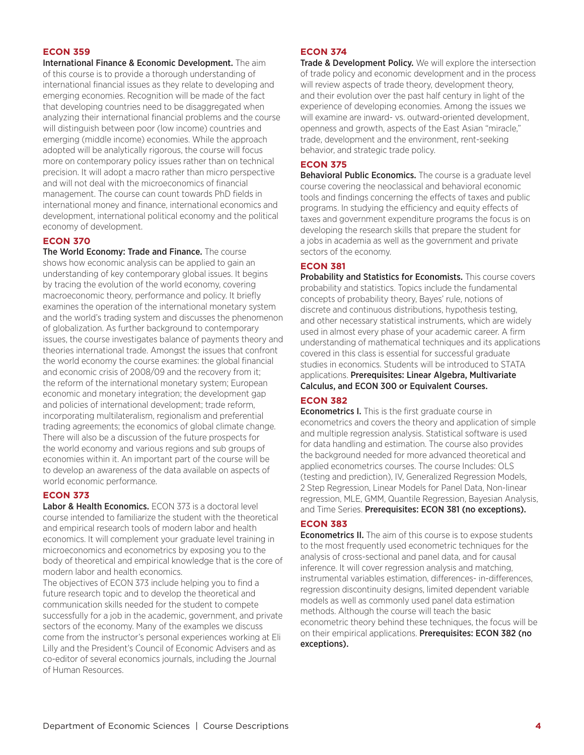International Finance & Economic Development. The aim of this course is to provide a thorough understanding of international financial issues as they relate to developing and emerging economies. Recognition will be made of the fact that developing countries need to be disaggregated when analyzing their international financial problems and the course will distinguish between poor (low income) countries and emerging (middle income) economies. While the approach adopted will be analytically rigorous, the course will focus more on contemporary policy issues rather than on technical precision. It will adopt a macro rather than micro perspective and will not deal with the microeconomics of financial management. The course can count towards PhD fields in international money and finance, international economics and development, international political economy and the political economy of development.

#### **ECON 370**

The World Economy: Trade and Finance. The course shows how economic analysis can be applied to gain an understanding of key contemporary global issues. It begins by tracing the evolution of the world economy, covering macroeconomic theory, performance and policy. It briefly examines the operation of the international monetary system and the world's trading system and discusses the phenomenon of globalization. As further background to contemporary issues, the course investigates balance of payments theory and theories international trade. Amongst the issues that confront the world economy the course examines: the global financial and economic crisis of 2008/09 and the recovery from it; the reform of the international monetary system; European economic and monetary integration; the development gap and policies of international development; trade reform, incorporating multilateralism, regionalism and preferential trading agreements; the economics of global climate change. There will also be a discussion of the future prospects for the world economy and various regions and sub groups of economies within it. An important part of the course will be to develop an awareness of the data available on aspects of world economic performance.

#### **ECON 373**

Labor & Health Economics. ECON 373 is a doctoral level course intended to familiarize the student with the theoretical and empirical research tools of modern labor and health economics. It will complement your graduate level training in microeconomics and econometrics by exposing you to the body of theoretical and empirical knowledge that is the core of modern labor and health economics.

The objectives of ECON 373 include helping you to find a future research topic and to develop the theoretical and communication skills needed for the student to compete successfully for a job in the academic, government, and private sectors of the economy. Many of the examples we discuss come from the instructor's personal experiences working at Eli Lilly and the President's Council of Economic Advisers and as co-editor of several economics journals, including the Journal of Human Resources.

#### **ECON 374**

**Trade & Development Policy.** We will explore the intersection of trade policy and economic development and in the process will review aspects of trade theory, development theory, and their evolution over the past half century in light of the experience of developing economies. Among the issues we will examine are inward- vs. outward-oriented development, openness and growth, aspects of the East Asian "miracle," trade, development and the environment, rent-seeking behavior, and strategic trade policy.

#### **ECON 375**

Behavioral Public Economics. The course is a graduate level course covering the neoclassical and behavioral economic tools and findings concerning the effects of taxes and public programs. In studying the efficiency and equity effects of taxes and government expenditure programs the focus is on developing the research skills that prepare the student for a jobs in academia as well as the government and private sectors of the economy.

#### **ECON 381**

Probability and Statistics for Economists. This course covers probability and statistics. Topics include the fundamental concepts of probability theory, Bayes' rule, notions of discrete and continuous distributions, hypothesis testing, and other necessary statistical instruments, which are widely used in almost every phase of your academic career. A firm understanding of mathematical techniques and its applications covered in this class is essential for successful graduate studies in economics. Students will be introduced to STATA applications. Prerequisites: Linear Algebra, Multivariate Calculus, and ECON 300 or Equivalent Courses.

#### **ECON 382**

Econometrics I. This is the first graduate course in econometrics and covers the theory and application of simple and multiple regression analysis. Statistical software is used for data handling and estimation. The course also provides the background needed for more advanced theoretical and applied econometrics courses. The course Includes: OLS (testing and prediction), IV, Generalized Regression Models, 2 Step Regression, Linear Models for Panel Data, Non-linear regression, MLE, GMM, Quantile Regression, Bayesian Analysis, and Time Series. Prerequisites: ECON 381 (no exceptions).

#### **ECON 383**

**Econometrics II.** The aim of this course is to expose students to the most frequently used econometric techniques for the analysis of cross-sectional and panel data, and for causal inference. It will cover regression analysis and matching, instrumental variables estimation, differences- in-differences, regression discontinuity designs, limited dependent variable models as well as commonly used panel data estimation methods. Although the course will teach the basic econometric theory behind these techniques, the focus will be on their empirical applications. Prerequisites: ECON 382 (no exceptions).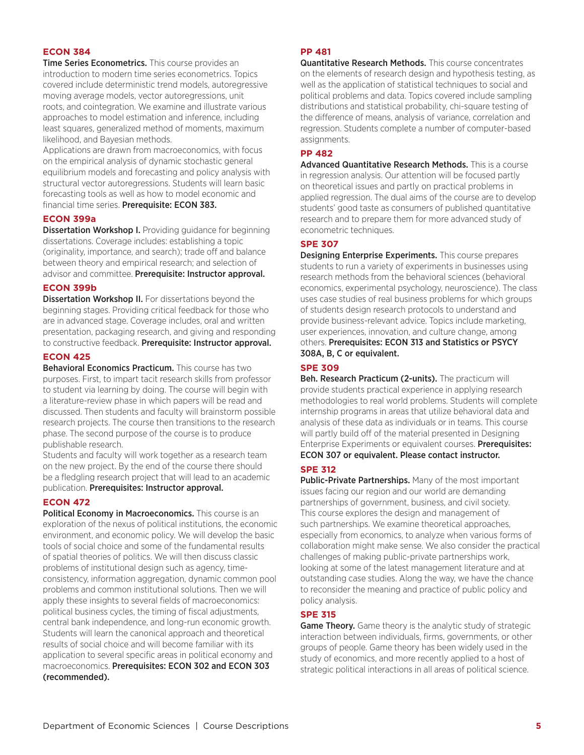Time Series Econometrics. This course provides an introduction to modern time series econometrics. Topics covered include deterministic trend models, autoregressive moving average models, vector autoregressions, unit roots, and cointegration. We examine and illustrate various approaches to model estimation and inference, including least squares, generalized method of moments, maximum likelihood, and Bayesian methods.

Applications are drawn from macroeconomics, with focus on the empirical analysis of dynamic stochastic general equilibrium models and forecasting and policy analysis with structural vector autoregressions. Students will learn basic forecasting tools as well as how to model economic and financial time series. Prerequisite: ECON 383.

#### **ECON 399a**

**Dissertation Workshop I.** Providing guidance for beginning dissertations. Coverage includes: establishing a topic (originality, importance, and search); trade off and balance between theory and empirical research; and selection of advisor and committee. Prerequisite: Instructor approval.

#### **ECON 399b**

**Dissertation Workshop II.** For dissertations beyond the beginning stages. Providing critical feedback for those who are in advanced stage. Coverage includes, oral and written presentation, packaging research, and giving and responding to constructive feedback. Prerequisite: Instructor approval.

#### **ECON 425**

Behavioral Economics Practicum. This course has two purposes. First, to impart tacit research skills from professor to student via learning by doing. The course will begin with a literature-review phase in which papers will be read and discussed. Then students and faculty will brainstorm possible research projects. The course then transitions to the research phase. The second purpose of the course is to produce publishable research.

Students and faculty will work together as a research team on the new project. By the end of the course there should be a fledgling research project that will lead to an academic publication. Prerequisites: Instructor approval.

#### **ECON 472**

Political Economy in Macroeconomics. This course is an exploration of the nexus of political institutions, the economic environment, and economic policy. We will develop the basic tools of social choice and some of the fundamental results of spatial theories of politics. We will then discuss classic problems of institutional design such as agency, timeconsistency, information aggregation, dynamic common pool problems and common institutional solutions. Then we will apply these insights to several fields of macroeconomics: political business cycles, the timing of fiscal adjustments, central bank independence, and long-run economic growth. Students will learn the canonical approach and theoretical results of social choice and will become familiar with its application to several specific areas in political economy and macroeconomics. Prerequisites: ECON 302 and ECON 303 (recommended).

#### **PP 481**

Quantitative Research Methods. This course concentrates on the elements of research design and hypothesis testing, as well as the application of statistical techniques to social and political problems and data. Topics covered include sampling distributions and statistical probability, chi-square testing of the difference of means, analysis of variance, correlation and regression. Students complete a number of computer-based assignments.

#### **PP 482**

Advanced Quantitative Research Methods. This is a course in regression analysis. Our attention will be focused partly on theoretical issues and partly on practical problems in applied regression. The dual aims of the course are to develop students' good taste as consumers of published quantitative research and to prepare them for more advanced study of econometric techniques.

#### **SPE 307**

Designing Enterprise Experiments. This course prepares students to run a variety of experiments in businesses using research methods from the behavioral sciences (behavioral economics, experimental psychology, neuroscience). The class uses case studies of real business problems for which groups of students design research protocols to understand and provide business-relevant advice. Topics include marketing, user experiences, innovation, and culture change, among others. Prerequisites: ECON 313 and Statistics or PSYCY 308A, B, C or equivalent.

#### **SPE 309**

Beh. Research Practicum (2-units). The practicum will provide students practical experience in applying research methodologies to real world problems. Students will complete internship programs in areas that utilize behavioral data and analysis of these data as individuals or in teams. This course will partly build off of the material presented in Designing Enterprise Experiments or equivalent courses. Prerequisites: ECON 307 or equivalent. Please contact instructor.

## **SPE 312**

Public-Private Partnerships. Many of the most important issues facing our region and our world are demanding partnerships of government, business, and civil society. This course explores the design and management of such partnerships. We examine theoretical approaches, especially from economics, to analyze when various forms of collaboration might make sense. We also consider the practical challenges of making public-private partnerships work, looking at some of the latest management literature and at outstanding case studies. Along the way, we have the chance to reconsider the meaning and practice of public policy and policy analysis.

## **SPE 315**

**Game Theory.** Game theory is the analytic study of strategic interaction between individuals, firms, governments, or other groups of people. Game theory has been widely used in the study of economics, and more recently applied to a host of strategic political interactions in all areas of political science.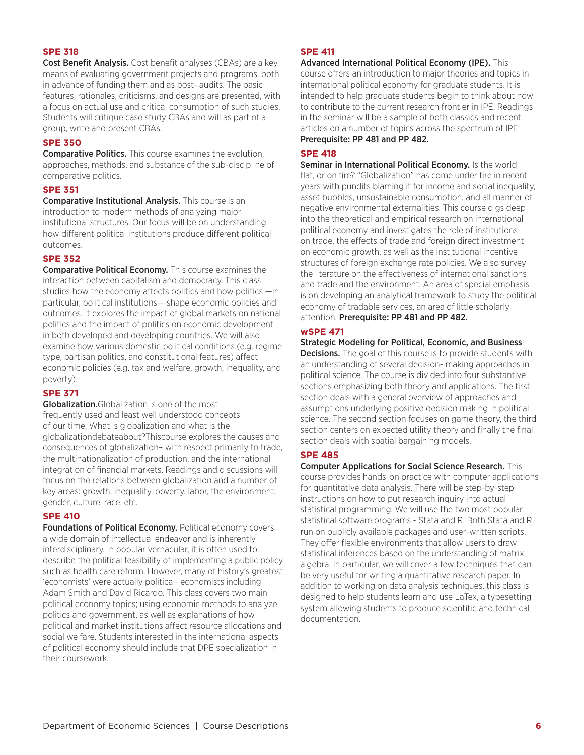#### **SPE 318**

Cost Benefit Analysis. Cost benefit analyses (CBAs) are a key means of evaluating government projects and programs, both in advance of funding them and as post- audits. The basic features, rationales, criticisms, and designs are presented, with a focus on actual use and critical consumption of such studies. Students will critique case study CBAs and will as part of a group, write and present CBAs.

#### **SPE 350**

**Comparative Politics.** This course examines the evolution, approaches, methods, and substance of the sub-discipline of comparative politics.

#### **SPE 351**

Comparative Institutional Analysis. This course is an introduction to modern methods of analyzing major institutional structures. Our focus will be on understanding how different political institutions produce different political outcomes.

#### **SPE 352**

Comparative Political Economy. This course examines the interaction between capitalism and democracy. This class studies how the economy affects politics and how politics —in particular, political institutions— shape economic policies and outcomes. It explores the impact of global markets on national politics and the impact of politics on economic development in both developed and developing countries. We will also examine how various domestic political conditions (e.g. regime type, partisan politics, and constitutional features) affect economic policies (e.g. tax and welfare, growth, inequality, and poverty).

#### **SPE 371**

**Globalization.**Globalization is one of the most frequently used and least well understood concepts of our time. What is globalization and what is the globalizationdebateabout?Thiscourse explores the causes and consequences of globalization– with respect primarily to trade, the multinationalization of production, and the international integration of financial markets. Readings and discussions will focus on the relations between globalization and a number of key areas: growth, inequality, poverty, labor, the environment, gender, culture, race, etc.

#### **SPE 410**

**Foundations of Political Economy.** Political economy covers a wide domain of intellectual endeavor and is inherently interdisciplinary. In popular vernacular, it is often used to describe the political feasibility of implementing a public policy such as health care reform. However, many of history's greatest 'economists' were actually political- economists including Adam Smith and David Ricardo. This class covers two main political economy topics; using economic methods to analyze politics and government, as well as explanations of how political and market institutions affect resource allocations and social welfare. Students interested in the international aspects of political economy should include that DPE specialization in their coursework.

#### **SPE 411**

Advanced International Political Economy (IPE). This course offers an introduction to major theories and topics in international political economy for graduate students. It is intended to help graduate students begin to think about how to contribute to the current research frontier in IPE. Readings in the seminar will be a sample of both classics and recent articles on a number of topics across the spectrum of IPE Prerequisite: PP 481 and PP 482.

#### **SPE 418**

Seminar in International Political Economy. Is the world flat, or on fire? "Globalization" has come under fire in recent years with pundits blaming it for income and social inequality, asset bubbles, unsustainable consumption, and all manner of negative environmental externalities. This course digs deep into the theoretical and empirical research on international political economy and investigates the role of institutions on trade, the effects of trade and foreign direct investment on economic growth, as well as the institutional incentive structures of foreign exchange rate policies. We also survey the literature on the effectiveness of international sanctions and trade and the environment. An area of special emphasis is on developing an analytical framework to study the political economy of tradable services, an area of little scholarly attention. Prerequisite: PP 481 and PP 482.

#### **wSPE 471**

Strategic Modeling for Political, Economic, and Business **Decisions.** The goal of this course is to provide students with an understanding of several decision- making approaches in political science. The course is divided into four substantive sections emphasizing both theory and applications. The first section deals with a general overview of approaches and assumptions underlying positive decision making in political science. The second section focuses on game theory, the third section centers on expected utility theory and finally the final section deals with spatial bargaining models.

#### **SPE 485**

Computer Applications for Social Science Research. This course provides hands-on practice with computer applications for quantitative data analysis. There will be step-by-step instructions on how to put research inquiry into actual statistical programming. We will use the two most popular statistical software programs - Stata and R. Both Stata and R run on publicly available packages and user-written scripts. They offer flexible environments that allow users to draw statistical inferences based on the understanding of matrix algebra. In particular, we will cover a few techniques that can be very useful for writing a quantitative research paper. In addition to working on data analysis techniques, this class is designed to help students learn and use LaTex, a typesetting system allowing students to produce scientific and technical documentation.